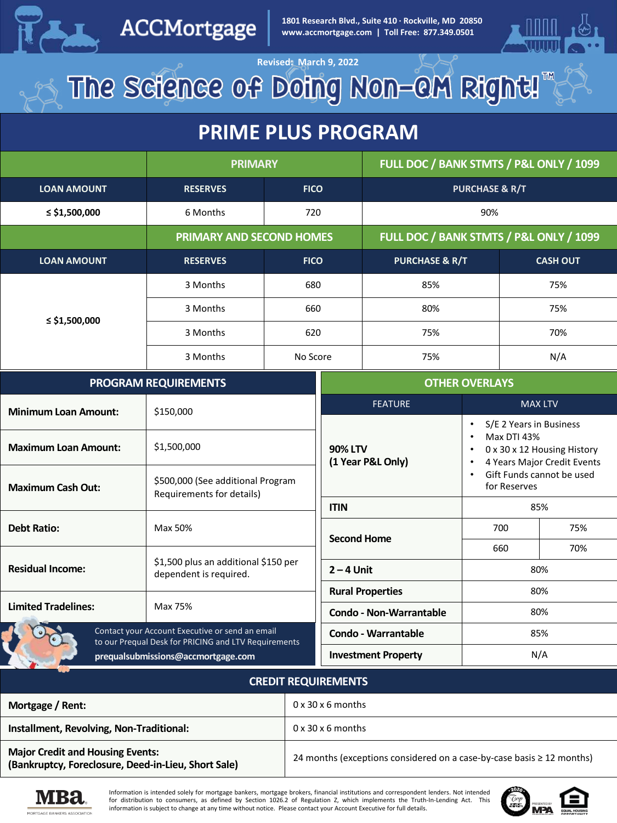

### ACCMortgage

**PRIME PLUS PRIME PRIME PRIME PROGRAM**<br> **PRIME PLUS PROGRAM**<br> **PRIME PRIME PRIME PRIME PRIME PRIME PRIME PRIME PRIME PRIME PRIME PRIME PRIME PRIME PRIME PRIME PRIME PRIME PRIME PRIME PRIME PRIME PRIME PRIME PRIME PRIME PRI 1801 Research Blvd., Suite 410 · Rockville, MD 20850**



Revised: March 9, 2022<br>The Science of Doing Non-CM Right!

### **PRIME PLUS PROGRAM**

|                    | <b>PRIMARY</b>                  |             | FULL DOC / BANK STMTS / P&L ONLY / 1099 |                 |
|--------------------|---------------------------------|-------------|-----------------------------------------|-----------------|
| <b>LOAN AMOUNT</b> | <b>RESERVES</b>                 | <b>FICO</b> | <b>PURCHASE &amp; R/T</b>               |                 |
| $\le$ \$1,500,000  | 6 Months                        | 720         | 90%                                     |                 |
|                    | <b>PRIMARY AND SECOND HOMES</b> |             | FULL DOC / BANK STMTS / P&L ONLY / 1099 |                 |
| <b>LOAN AMOUNT</b> | <b>RESERVES</b>                 | <b>FICO</b> | <b>PURCHASE &amp; R/T</b>               | <b>CASH OUT</b> |
| ≤ \$1,500,000      | 3 Months                        | 680         | 85%                                     | 75%             |
|                    | 3 Months                        | 660         | 80%                                     | 75%             |
|                    | 3 Months                        | 620         | 75%                                     | 70%             |
|                    | 3 Months                        | No Score    | 75%                                     | N/A             |

| <b>PROGRAM REQUIREMENTS</b>                                                                                                                   |                                                                | <b>OTHER OVERLAYS</b>               |                                                                                                                                    |     |
|-----------------------------------------------------------------------------------------------------------------------------------------------|----------------------------------------------------------------|-------------------------------------|------------------------------------------------------------------------------------------------------------------------------------|-----|
| <b>Minimum Loan Amount:</b>                                                                                                                   | \$150,000                                                      | <b>FEATURE</b>                      | <b>MAX LTV</b>                                                                                                                     |     |
| <b>Maximum Loan Amount:</b>                                                                                                                   | \$1,500,000                                                    | <b>90% LTV</b><br>(1 Year P&L Only) | S/E 2 Years in Business<br>٠<br><b>Max DTI 43%</b><br>$\bullet$<br>0 x 30 x 12 Housing History<br>٠<br>4 Years Major Credit Events |     |
| <b>Maximum Cash Out:</b>                                                                                                                      | \$500,000 (See additional Program<br>Requirements for details) |                                     | Gift Funds cannot be used<br>for Reserves                                                                                          |     |
|                                                                                                                                               |                                                                | <b>ITIN</b>                         | 85%                                                                                                                                |     |
| <b>Debt Ratio:</b>                                                                                                                            | Max 50%                                                        | <b>Second Home</b>                  | 700                                                                                                                                | 75% |
|                                                                                                                                               | \$1,500 plus an additional \$150 per<br>dependent is required. |                                     | 660                                                                                                                                | 70% |
| <b>Residual Income:</b>                                                                                                                       |                                                                | $2 - 4$ Unit                        | 80%                                                                                                                                |     |
|                                                                                                                                               |                                                                | <b>Rural Properties</b>             | 80%                                                                                                                                |     |
| <b>Limited Tradelines:</b>                                                                                                                    | Max 75%                                                        | <b>Condo - Non-Warrantable</b>      |                                                                                                                                    | 80% |
| Contact your Account Executive or send an email<br>to our Prequal Desk for PRICING and LTV Requirements<br>prequalsubmissions@accmortgage.com |                                                                | <b>Condo - Warrantable</b>          | 85%                                                                                                                                |     |
|                                                                                                                                               |                                                                | <b>Investment Property</b>          | N/A                                                                                                                                |     |

#### **CREDIT REQUIREMENTS**

| Mortgage / Rent:                                                                               | $0 \times 30 \times 6$ months                                              |
|------------------------------------------------------------------------------------------------|----------------------------------------------------------------------------|
| Installment, Revolving, Non-Traditional:                                                       | $0 \times 30 \times 6$ months                                              |
| <b>Major Credit and Housing Events:</b><br>(Bankruptcy, Foreclosure, Deed-in-Lieu, Short Sale) | 24 months (exceptions considered on a case-by-case basis $\geq 12$ months) |



Information is intended solely for mortgage bankers, mortgage brokers, financial institutions and correspondent lenders. Not intended for distribution to consumers, as defined by Section 1026.2 of Regulation Z, which implements the Truth-In-Lending Act. This information is subject to change at any time without notice. Please contact your Account Executive for full details.

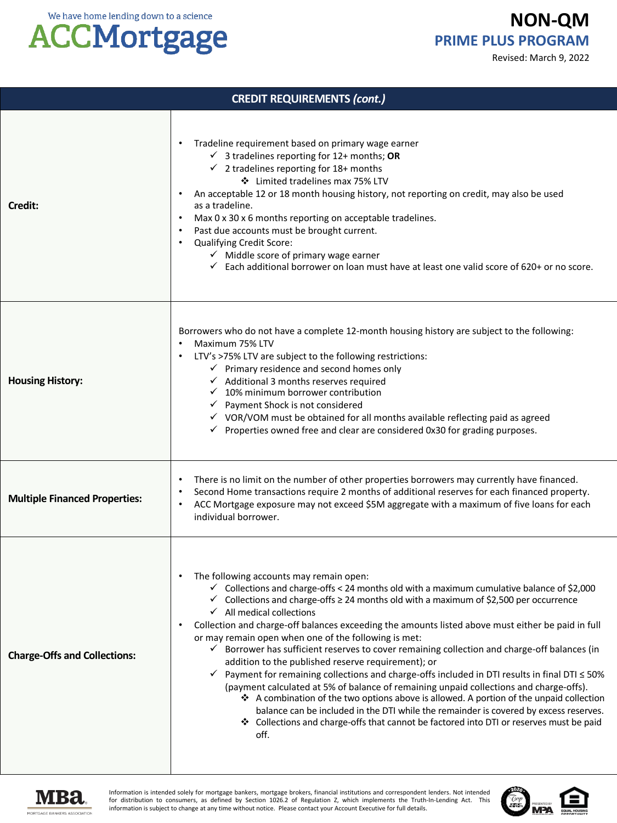# **ACCMortgage**

**NON-QM PRIME PLUS PROGRAM**

Revised: March 9, 2022

| <b>CREDIT REQUIREMENTS (cont.)</b>   |                                                                                                                                                                                                                                                                                                                                                                                                                                                                                                                                                                                                                                                                                                                                                                                                                                                                                                                                                                                                                                                                                                                                               |  |
|--------------------------------------|-----------------------------------------------------------------------------------------------------------------------------------------------------------------------------------------------------------------------------------------------------------------------------------------------------------------------------------------------------------------------------------------------------------------------------------------------------------------------------------------------------------------------------------------------------------------------------------------------------------------------------------------------------------------------------------------------------------------------------------------------------------------------------------------------------------------------------------------------------------------------------------------------------------------------------------------------------------------------------------------------------------------------------------------------------------------------------------------------------------------------------------------------|--|
| Credit:                              | Tradeline requirement based on primary wage earner<br>$\bullet$<br>$\checkmark$ 3 tradelines reporting for 12+ months; OR<br>$\checkmark$ 2 tradelines reporting for 18+ months<br>❖ Limited tradelines max 75% LTV<br>An acceptable 12 or 18 month housing history, not reporting on credit, may also be used<br>٠<br>as a tradeline.<br>Max 0 x 30 x 6 months reporting on acceptable tradelines.<br>$\bullet$<br>Past due accounts must be brought current.<br>$\bullet$<br>Qualifying Credit Score:<br>$\bullet$<br>$\checkmark$ Middle score of primary wage earner<br>$\checkmark$ Each additional borrower on loan must have at least one valid score of 620+ or no score.                                                                                                                                                                                                                                                                                                                                                                                                                                                             |  |
| <b>Housing History:</b>              | Borrowers who do not have a complete 12-month housing history are subject to the following:<br>Maximum 75% LTV<br>LTV's >75% LTV are subject to the following restrictions:<br>$\bullet$<br>$\checkmark$ Primary residence and second homes only<br>$\checkmark$ Additional 3 months reserves required<br>$\checkmark$ 10% minimum borrower contribution<br>← Payment Shock is not considered<br>√ VOR/VOM must be obtained for all months available reflecting paid as agreed<br>$\checkmark$ Properties owned free and clear are considered 0x30 for grading purposes.                                                                                                                                                                                                                                                                                                                                                                                                                                                                                                                                                                      |  |
| <b>Multiple Financed Properties:</b> | There is no limit on the number of other properties borrowers may currently have financed.<br>Second Home transactions require 2 months of additional reserves for each financed property.<br>$\bullet$<br>ACC Mortgage exposure may not exceed \$5M aggregate with a maximum of five loans for each<br>٠<br>individual borrower.                                                                                                                                                                                                                                                                                                                                                                                                                                                                                                                                                                                                                                                                                                                                                                                                             |  |
| <b>Charge-Offs and Collections:</b>  | The following accounts may remain open:<br>$\bullet$<br>$\checkmark$ Collections and charge-offs < 24 months old with a maximum cumulative balance of \$2,000<br>$\checkmark$ Collections and charge-offs $\geq$ 24 months old with a maximum of \$2,500 per occurrence<br>$\checkmark$ All medical collections<br>Collection and charge-off balances exceeding the amounts listed above must either be paid in full<br>$\bullet$<br>or may remain open when one of the following is met:<br>$\checkmark$ Borrower has sufficient reserves to cover remaining collection and charge-off balances (in<br>addition to the published reserve requirement); or<br>√ Payment for remaining collections and charge-offs included in DTI results in final DTI ≤ 50%<br>(payment calculated at 5% of balance of remaining unpaid collections and charge-offs).<br>❖ A combination of the two options above is allowed. A portion of the unpaid collection<br>balance can be included in the DTI while the remainder is covered by excess reserves.<br>❖ Collections and charge-offs that cannot be factored into DTI or reserves must be paid<br>off. |  |



Information is intended solely for mortgage bankers, mortgage brokers, financial institutions and correspondent lenders. Not intended<br>for distribution to consumers, as defined by Section 1026.2 of Regulation Z, which imple information is subject to change at any time without notice. Please contact your Account Executive for full details.

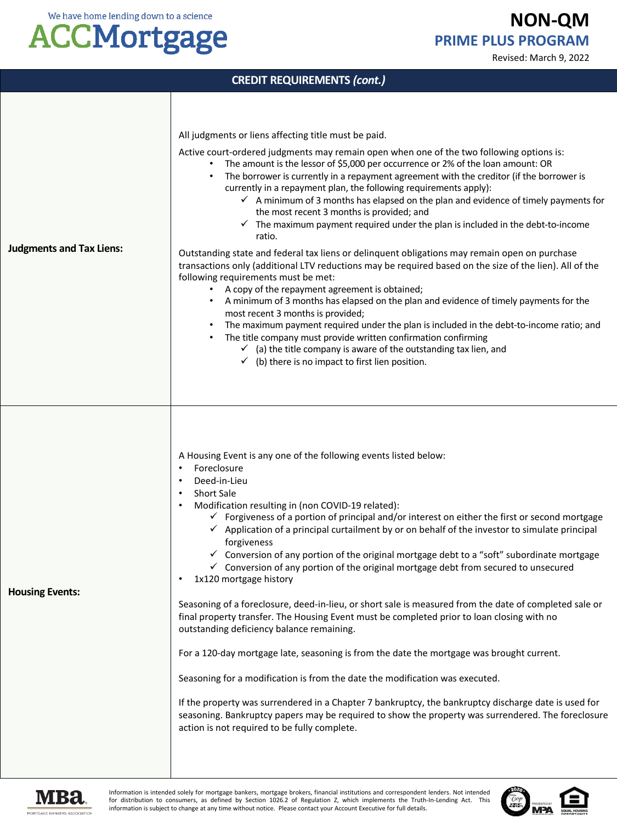## **ACCMortgage**

**NON-QM PRIME PLUS PROGRAM**

Revised: March 9, 2022

| <b>CREDIT REQUIREMENTS (cont.)</b> |                                                                                                                                                                                                                                                                                                                                                                                                                                                                                                                                                                                                                                                                                                                                                                                                                                                                                                                                                                                                                                                                                                                                                                                                                                                                                                                                                                                                             |  |
|------------------------------------|-------------------------------------------------------------------------------------------------------------------------------------------------------------------------------------------------------------------------------------------------------------------------------------------------------------------------------------------------------------------------------------------------------------------------------------------------------------------------------------------------------------------------------------------------------------------------------------------------------------------------------------------------------------------------------------------------------------------------------------------------------------------------------------------------------------------------------------------------------------------------------------------------------------------------------------------------------------------------------------------------------------------------------------------------------------------------------------------------------------------------------------------------------------------------------------------------------------------------------------------------------------------------------------------------------------------------------------------------------------------------------------------------------------|--|
| <b>Judgments and Tax Liens:</b>    | All judgments or liens affecting title must be paid.<br>Active court-ordered judgments may remain open when one of the two following options is:<br>The amount is the lessor of \$5,000 per occurrence or 2% of the loan amount: OR<br>The borrower is currently in a repayment agreement with the creditor (if the borrower is<br>currently in a repayment plan, the following requirements apply):<br>$\checkmark$ A minimum of 3 months has elapsed on the plan and evidence of timely payments for<br>the most recent 3 months is provided; and<br>$\checkmark$ The maximum payment required under the plan is included in the debt-to-income<br>ratio.<br>Outstanding state and federal tax liens or delinguent obligations may remain open on purchase<br>transactions only (additional LTV reductions may be required based on the size of the lien). All of the<br>following requirements must be met:<br>A copy of the repayment agreement is obtained;<br>A minimum of 3 months has elapsed on the plan and evidence of timely payments for the<br>most recent 3 months is provided;<br>The maximum payment required under the plan is included in the debt-to-income ratio; and<br>The title company must provide written confirmation confirming<br>$\checkmark$ (a) the title company is aware of the outstanding tax lien, and<br>$\checkmark$ (b) there is no impact to first lien position. |  |
| <b>Housing Events:</b>             | A Housing Event is any one of the following events listed below:<br>Foreclosure<br>٠<br>Deed-in-Lieu<br>$\bullet$<br><b>Short Sale</b><br>Modification resulting in (non COVID-19 related):<br>$\bullet$<br>$\checkmark$ Forgiveness of a portion of principal and/or interest on either the first or second mortgage<br>$\checkmark$ Application of a principal curtailment by or on behalf of the investor to simulate principal<br>forgiveness<br>✓ Conversion of any portion of the original mortgage debt to a "soft" subordinate mortgage<br>$\checkmark$ Conversion of any portion of the original mortgage debt from secured to unsecured<br>1x120 mortgage history<br>Seasoning of a foreclosure, deed-in-lieu, or short sale is measured from the date of completed sale or<br>final property transfer. The Housing Event must be completed prior to loan closing with no<br>outstanding deficiency balance remaining.<br>For a 120-day mortgage late, seasoning is from the date the mortgage was brought current.<br>Seasoning for a modification is from the date the modification was executed.<br>If the property was surrendered in a Chapter 7 bankruptcy, the bankruptcy discharge date is used for<br>seasoning. Bankruptcy papers may be required to show the property was surrendered. The foreclosure<br>action is not required to be fully complete.                                 |  |



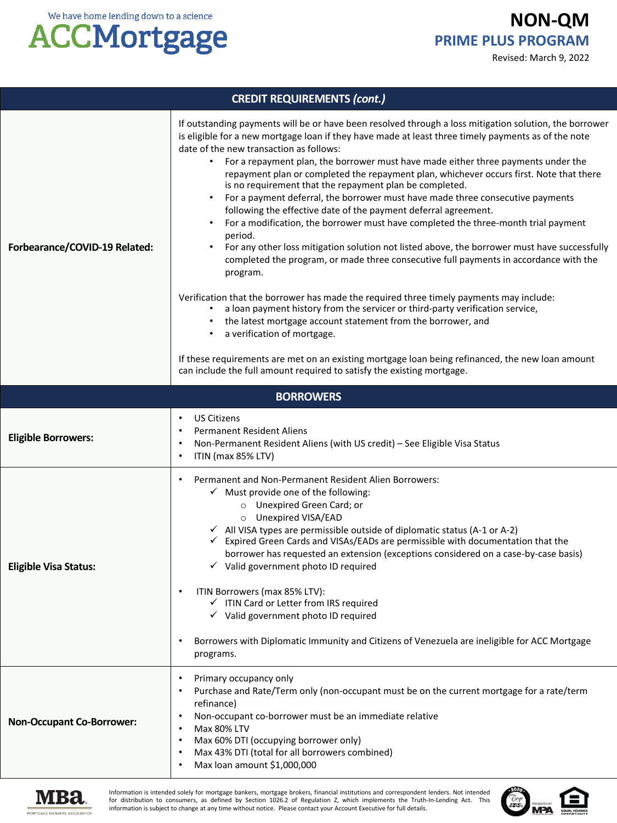**NON-QM PRIME PLUS PROGRAM**

Revised: March 9, 2022



| <b>CREDIT REQUIREMENTS (cont.)</b> |                                                                                                                                                                                                                                                                                                                                                                                                                                                                                                                                                                                                                                                                                                                                                                                                                                                                                                                                                                                                                                                                                                                                                                                                                                                                                                                                                                                                                         |  |
|------------------------------------|-------------------------------------------------------------------------------------------------------------------------------------------------------------------------------------------------------------------------------------------------------------------------------------------------------------------------------------------------------------------------------------------------------------------------------------------------------------------------------------------------------------------------------------------------------------------------------------------------------------------------------------------------------------------------------------------------------------------------------------------------------------------------------------------------------------------------------------------------------------------------------------------------------------------------------------------------------------------------------------------------------------------------------------------------------------------------------------------------------------------------------------------------------------------------------------------------------------------------------------------------------------------------------------------------------------------------------------------------------------------------------------------------------------------------|--|
| Forbearance/COVID-19 Related:      | If outstanding payments will be or have been resolved through a loss mitigation solution, the borrower<br>is eligible for a new mortgage loan if they have made at least three timely payments as of the note<br>date of the new transaction as follows:<br>For a repayment plan, the borrower must have made either three payments under the<br>repayment plan or completed the repayment plan, whichever occurs first. Note that there<br>is no requirement that the repayment plan be completed.<br>For a payment deferral, the borrower must have made three consecutive payments<br>following the effective date of the payment deferral agreement.<br>For a modification, the borrower must have completed the three-month trial payment<br>period.<br>For any other loss mitigation solution not listed above, the borrower must have successfully<br>completed the program, or made three consecutive full payments in accordance with the<br>program.<br>Verification that the borrower has made the required three timely payments may include:<br>a loan payment history from the servicer or third-party verification service,<br>the latest mortgage account statement from the borrower, and<br>a verification of mortgage.<br>If these requirements are met on an existing mortgage loan being refinanced, the new loan amount<br>can include the full amount required to satisfy the existing mortgage. |  |
|                                    | <b>BORROWERS</b>                                                                                                                                                                                                                                                                                                                                                                                                                                                                                                                                                                                                                                                                                                                                                                                                                                                                                                                                                                                                                                                                                                                                                                                                                                                                                                                                                                                                        |  |
| <b>Eligible Borrowers:</b>         | <b>US Citizens</b><br><b>Permanent Resident Aliens</b><br>Non-Permanent Resident Aliens (with US credit) - See Eligible Visa Status<br>ITIN (max 85% LTV)<br>$\bullet$                                                                                                                                                                                                                                                                                                                                                                                                                                                                                                                                                                                                                                                                                                                                                                                                                                                                                                                                                                                                                                                                                                                                                                                                                                                  |  |
| <b>Eligible Visa Status:</b>       | Permanent and Non-Permanent Resident Alien Borrowers:<br>$\checkmark$ Must provide one of the following:<br>O Unexpired Green Card; or<br>O Unexpired VISA/EAD<br>$\checkmark$ All VISA types are permissible outside of diplomatic status (A-1 or A-2)<br>Expired Green Cards and VISAs/EADs are permissible with documentation that the<br>✓<br>borrower has requested an extension (exceptions considered on a case-by-case basis)<br>$\checkmark$ Valid government photo ID required<br>ITIN Borrowers (max 85% LTV):<br>√ ITIN Card or Letter from IRS required<br>$\checkmark$ Valid government photo ID required<br>Borrowers with Diplomatic Immunity and Citizens of Venezuela are ineligible for ACC Mortgage<br>programs.                                                                                                                                                                                                                                                                                                                                                                                                                                                                                                                                                                                                                                                                                    |  |
| <b>Non-Occupant Co-Borrower:</b>   | Primary occupancy only<br>Purchase and Rate/Term only (non-occupant must be on the current mortgage for a rate/term<br>refinance)<br>Non-occupant co-borrower must be an immediate relative<br>Max 80% LTV<br>Max 60% DTI (occupying borrower only)<br>Max 43% DTI (total for all borrowers combined)<br>Max loan amount \$1,000,000                                                                                                                                                                                                                                                                                                                                                                                                                                                                                                                                                                                                                                                                                                                                                                                                                                                                                                                                                                                                                                                                                    |  |



Information is intended solely for mortgage bankers, mortgage brokers, financial institutions and correspondent lenders. Not intended for distribution to consumers, as defined by Section 1026.2 of Regulation Z, which implements the Truth-In-Lending Act. This information is subject to change at any time without notice. Please contact your Account Executive for full details.

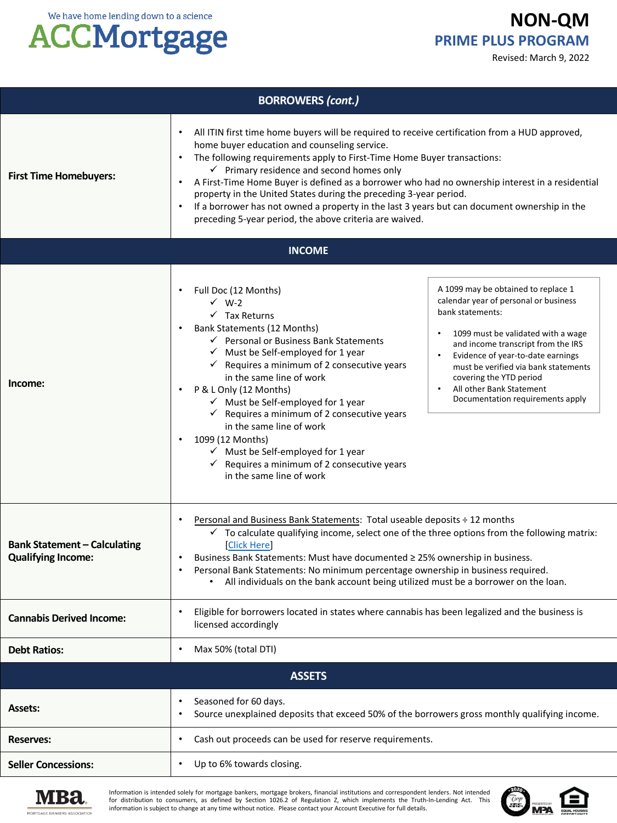# **ACCMortgage**

#### **NON-QM PRIME PLUS PROGRAM**

Revised: March 9, 2022

| <b>BORROWERS (cont.)</b>                                         |                                                                                                                                                                                                                                                                                                                                                                                                                                                                                                                                                                                                                                                                                                                                                                                                                                                                                                                                                                                     |  |  |
|------------------------------------------------------------------|-------------------------------------------------------------------------------------------------------------------------------------------------------------------------------------------------------------------------------------------------------------------------------------------------------------------------------------------------------------------------------------------------------------------------------------------------------------------------------------------------------------------------------------------------------------------------------------------------------------------------------------------------------------------------------------------------------------------------------------------------------------------------------------------------------------------------------------------------------------------------------------------------------------------------------------------------------------------------------------|--|--|
| <b>First Time Homebuyers:</b>                                    | All ITIN first time home buyers will be required to receive certification from a HUD approved,<br>home buyer education and counseling service.<br>The following requirements apply to First-Time Home Buyer transactions:<br>$\checkmark$ Primary residence and second homes only<br>A First-Time Home Buyer is defined as a borrower who had no ownership interest in a residential<br>property in the United States during the preceding 3-year period.<br>If a borrower has not owned a property in the last 3 years but can document ownership in the<br>$\bullet$<br>preceding 5-year period, the above criteria are waived.                                                                                                                                                                                                                                                                                                                                                   |  |  |
| <b>INCOME</b>                                                    |                                                                                                                                                                                                                                                                                                                                                                                                                                                                                                                                                                                                                                                                                                                                                                                                                                                                                                                                                                                     |  |  |
| Income:                                                          | A 1099 may be obtained to replace 1<br>Full Doc (12 Months)<br>calendar year of personal or business<br>$\checkmark$ W-2<br>bank statements:<br>$\checkmark$ Tax Returns<br>Bank Statements (12 Months)<br>1099 must be validated with a wage<br>$\checkmark$ Personal or Business Bank Statements<br>and income transcript from the IRS<br>$\checkmark$ Must be Self-employed for 1 year<br>Evidence of year-to-date earnings<br>$\checkmark$ Requires a minimum of 2 consecutive years<br>must be verified via bank statements<br>in the same line of work<br>covering the YTD period<br>All other Bank Statement<br>P & L Only (12 Months)<br>Documentation requirements apply<br>$\checkmark$ Must be Self-employed for 1 year<br>$\checkmark$ Requires a minimum of 2 consecutive years<br>in the same line of work<br>1099 (12 Months)<br>$\checkmark$ Must be Self-employed for 1 year<br>$\checkmark$ Requires a minimum of 2 consecutive years<br>in the same line of work |  |  |
| <b>Bank Statement - Calculating</b><br><b>Qualifying Income:</b> | Personal and Business Bank Statements: Total useable deposits ÷ 12 months<br>$\checkmark$ To calculate qualifying income, select one of the three options from the following matrix:<br>[Click Here]<br>Business Bank Statements: Must have documented ≥ 25% ownership in business.<br>Personal Bank Statements: No minimum percentage ownership in business required.<br>$\bullet$<br>All individuals on the bank account being utilized must be a borrower on the loan.                                                                                                                                                                                                                                                                                                                                                                                                                                                                                                           |  |  |
| <b>Cannabis Derived Income:</b>                                  | Eligible for borrowers located in states where cannabis has been legalized and the business is<br>licensed accordingly                                                                                                                                                                                                                                                                                                                                                                                                                                                                                                                                                                                                                                                                                                                                                                                                                                                              |  |  |
| <b>Debt Ratios:</b>                                              | Max 50% (total DTI)                                                                                                                                                                                                                                                                                                                                                                                                                                                                                                                                                                                                                                                                                                                                                                                                                                                                                                                                                                 |  |  |
|                                                                  | <b>ASSETS</b>                                                                                                                                                                                                                                                                                                                                                                                                                                                                                                                                                                                                                                                                                                                                                                                                                                                                                                                                                                       |  |  |
| <b>Assets:</b>                                                   | Seasoned for 60 days.<br>Source unexplained deposits that exceed 50% of the borrowers gross monthly qualifying income.<br>٠                                                                                                                                                                                                                                                                                                                                                                                                                                                                                                                                                                                                                                                                                                                                                                                                                                                         |  |  |
| <b>Reserves:</b>                                                 | Cash out proceeds can be used for reserve requirements.                                                                                                                                                                                                                                                                                                                                                                                                                                                                                                                                                                                                                                                                                                                                                                                                                                                                                                                             |  |  |
| <b>Seller Concessions:</b>                                       | Up to 6% towards closing.<br>٠                                                                                                                                                                                                                                                                                                                                                                                                                                                                                                                                                                                                                                                                                                                                                                                                                                                                                                                                                      |  |  |



Information is intended solely for mortgage bankers, mortgage brokers, financial institutions and correspondent lenders. Not intended<br>for distribution to consumers, as defined by Section 1026.2 of Regulation Z, which imple information is subject to change at any time without notice. Please contact your Account Executive for full details.

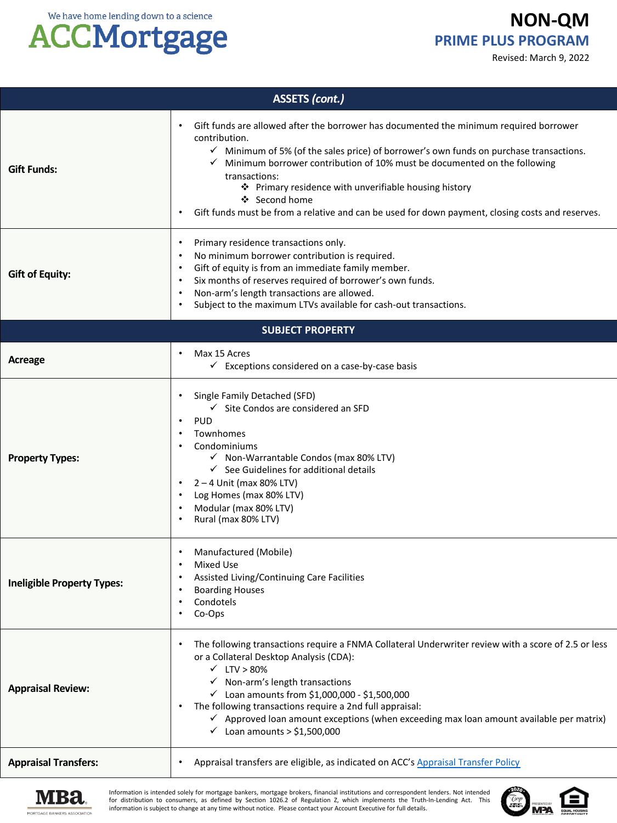### **ACCMortgage**

#### **NON-QM PRIME PLUS PROGRAM**

Revised: March 9, 2022

| <b>ASSETS (cont.)</b>             |                                                                                                                                                                                                                                                                                                                                                                                                                                                                                             |  |
|-----------------------------------|---------------------------------------------------------------------------------------------------------------------------------------------------------------------------------------------------------------------------------------------------------------------------------------------------------------------------------------------------------------------------------------------------------------------------------------------------------------------------------------------|--|
| <b>Gift Funds:</b>                | Gift funds are allowed after the borrower has documented the minimum required borrower<br>contribution.<br>$\checkmark$ Minimum of 5% (of the sales price) of borrower's own funds on purchase transactions.<br>Minimum borrower contribution of 10% must be documented on the following<br>transactions:<br>❖ Primary residence with unverifiable housing history<br>❖ Second home<br>Gift funds must be from a relative and can be used for down payment, closing costs and reserves.     |  |
| <b>Gift of Equity:</b>            | Primary residence transactions only.<br>$\bullet$<br>No minimum borrower contribution is required.<br>$\bullet$<br>Gift of equity is from an immediate family member.<br>$\bullet$<br>Six months of reserves required of borrower's own funds.<br>$\bullet$<br>Non-arm's length transactions are allowed.<br>$\bullet$<br>Subject to the maximum LTVs available for cash-out transactions.<br>$\bullet$                                                                                     |  |
|                                   | <b>SUBJECT PROPERTY</b>                                                                                                                                                                                                                                                                                                                                                                                                                                                                     |  |
| Acreage                           | Max 15 Acres<br>$\checkmark$ Exceptions considered on a case-by-case basis                                                                                                                                                                                                                                                                                                                                                                                                                  |  |
| <b>Property Types:</b>            | Single Family Detached (SFD)<br>$\bullet$<br>$\checkmark$ Site Condos are considered an SFD<br><b>PUD</b><br>$\bullet$<br>Townhomes<br>$\bullet$<br>Condominiums<br>√ Non-Warrantable Condos (max 80% LTV)<br>$\checkmark$ See Guidelines for additional details<br>2-4 Unit (max 80% LTV)<br>$\bullet$<br>Log Homes (max 80% LTV)<br>$\bullet$<br>Modular (max 80% LTV)<br>Rural (max 80% LTV)<br>$\bullet$                                                                                |  |
| <b>Ineligible Property Types:</b> | Manufactured (Mobile)<br>$\bullet$<br><b>Mixed Use</b><br>$\bullet$<br>Assisted Living/Continuing Care Facilities<br>$\bullet$<br><b>Boarding Houses</b><br>Condotels<br>Co-Ops                                                                                                                                                                                                                                                                                                             |  |
| <b>Appraisal Review:</b>          | The following transactions require a FNMA Collateral Underwriter review with a score of 2.5 or less<br>or a Collateral Desktop Analysis (CDA):<br>$\times$ LTV > 80%<br>$\checkmark$ Non-arm's length transactions<br>$\checkmark$ Loan amounts from \$1,000,000 - \$1,500,000<br>The following transactions require a 2nd full appraisal:<br>$\checkmark$ Approved loan amount exceptions (when exceeding max loan amount available per matrix)<br>$\checkmark$ Loan amounts > \$1,500,000 |  |
| <b>Appraisal Transfers:</b>       | Appraisal transfers are eligible, as indicated on ACC's Appraisal Transfer Policy                                                                                                                                                                                                                                                                                                                                                                                                           |  |



Information is intended solely for mortgage bankers, mortgage brokers, financial institutions and correspondent lenders. Not intended for distribution to consumers, as defined by Section 1026.2 of Regulation Z, which implements the Truth-In-Lending Act. This information is subject to change at any time without notice. Please contact your Account Executive for full details.

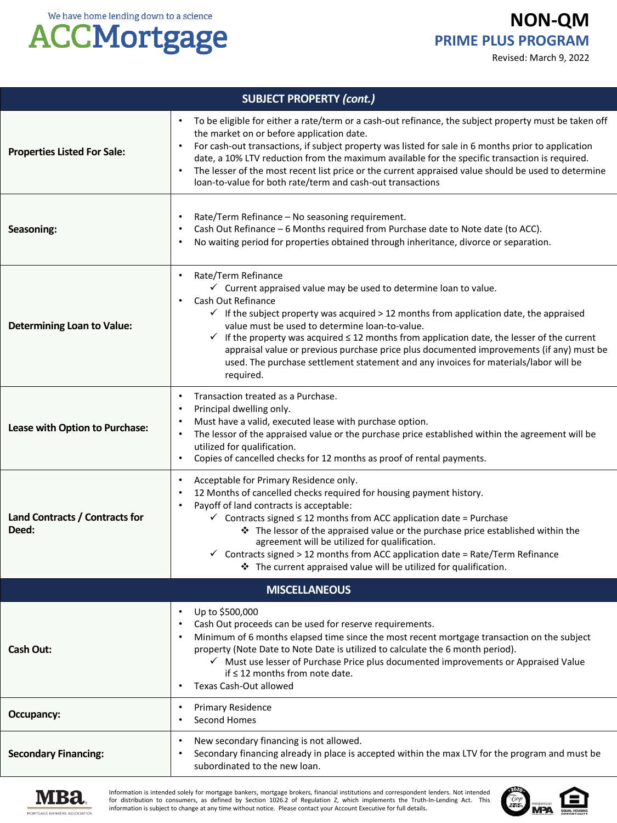**NON-QM PRIME PLUS PROGRAM**

Revised: March 9, 2022



| <b>SUBJECT PROPERTY (cont.)</b>         |                                                                                                                                                                                                                                                                                                                                                                                                                                                                                                                                                                                                                             |  |
|-----------------------------------------|-----------------------------------------------------------------------------------------------------------------------------------------------------------------------------------------------------------------------------------------------------------------------------------------------------------------------------------------------------------------------------------------------------------------------------------------------------------------------------------------------------------------------------------------------------------------------------------------------------------------------------|--|
| <b>Properties Listed For Sale:</b>      | To be eligible for either a rate/term or a cash-out refinance, the subject property must be taken off<br>$\bullet$<br>the market on or before application date.<br>For cash-out transactions, if subject property was listed for sale in 6 months prior to application<br>date, a 10% LTV reduction from the maximum available for the specific transaction is required.<br>The lesser of the most recent list price or the current appraised value should be used to determine<br>loan-to-value for both rate/term and cash-out transactions                                                                               |  |
| Seasoning:                              | Rate/Term Refinance - No seasoning requirement.<br>$\bullet$<br>Cash Out Refinance - 6 Months required from Purchase date to Note date (to ACC).<br>$\bullet$<br>No waiting period for properties obtained through inheritance, divorce or separation.                                                                                                                                                                                                                                                                                                                                                                      |  |
| <b>Determining Loan to Value:</b>       | Rate/Term Refinance<br>$\bullet$<br>$\checkmark$ Current appraised value may be used to determine loan to value.<br>Cash Out Refinance<br>$\bullet$<br>$\checkmark$ If the subject property was acquired > 12 months from application date, the appraised<br>value must be used to determine loan-to-value.<br>$\checkmark$ If the property was acquired $\leq$ 12 months from application date, the lesser of the current<br>appraisal value or previous purchase price plus documented improvements (if any) must be<br>used. The purchase settlement statement and any invoices for materials/labor will be<br>required. |  |
| Lease with Option to Purchase:          | Transaction treated as a Purchase.<br>$\bullet$<br>Principal dwelling only.<br>$\bullet$<br>Must have a valid, executed lease with purchase option.<br>$\bullet$<br>The lessor of the appraised value or the purchase price established within the agreement will be<br>utilized for qualification.<br>Copies of cancelled checks for 12 months as proof of rental payments.<br>$\bullet$                                                                                                                                                                                                                                   |  |
| Land Contracts / Contracts for<br>Deed: | Acceptable for Primary Residence only.<br>$\bullet$<br>12 Months of cancelled checks required for housing payment history.<br>$\bullet$<br>Payoff of land contracts is acceptable:<br>$\bullet$<br>$\checkmark$ Contracts signed $\leq$ 12 months from ACC application date = Purchase<br>The lessor of the appraised value or the purchase price established within the<br>agreement will be utilized for qualification.<br>$\checkmark$ Contracts signed > 12 months from ACC application date = Rate/Term Refinance<br>* The current appraised value will be utilized for qualification.                                 |  |
|                                         | <b>MISCELLANEOUS</b>                                                                                                                                                                                                                                                                                                                                                                                                                                                                                                                                                                                                        |  |
| <b>Cash Out:</b>                        | Up to \$500,000<br>$\bullet$<br>Cash Out proceeds can be used for reserve requirements.<br>Minimum of 6 months elapsed time since the most recent mortgage transaction on the subject<br>property (Note Date to Note Date is utilized to calculate the 6 month period).<br>√ Must use lesser of Purchase Price plus documented improvements or Appraised Value<br>if $\leq$ 12 months from note date.<br>Texas Cash-Out allowed<br>$\bullet$                                                                                                                                                                                |  |
| Occupancy:                              | <b>Primary Residence</b><br>$\bullet$<br>Second Homes<br>٠                                                                                                                                                                                                                                                                                                                                                                                                                                                                                                                                                                  |  |
| <b>Secondary Financing:</b>             | New secondary financing is not allowed.<br>$\bullet$<br>Secondary financing already in place is accepted within the max LTV for the program and must be<br>subordinated to the new loan.                                                                                                                                                                                                                                                                                                                                                                                                                                    |  |



Information is intended solely for mortgage bankers, mortgage brokers, financial institutions and correspondent lenders. Not intended<br>for distribution to consumers, as defined by Section 1026.2 of Regulation Z, which imple information is subject to change at any time without notice. Please contact your Account Executive for full details.